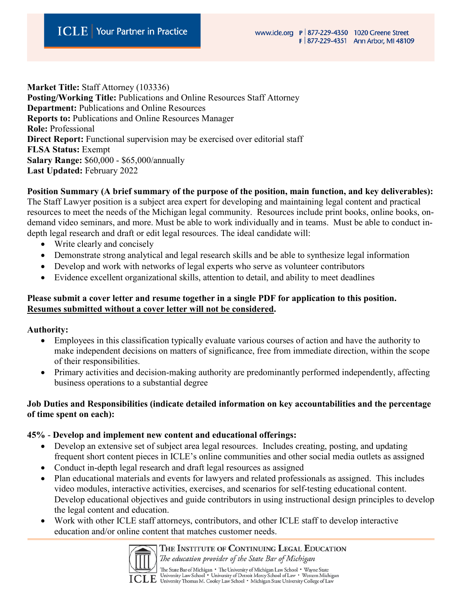**Market Title:** Staff Attorney (103336) **Posting/Working Title:** Publications and Online Resources Staff Attorney **Department:** Publications and Online Resources **Reports to:** Publications and Online Resources Manager **Role:** Professional **Direct Report:** Functional supervision may be exercised over editorial staff **FLSA Status:** Exempt **Salary Range:** \$60,000 - \$65,000/annually **Last Updated:** February 2022

**Position Summary (A brief summary of the purpose of the position, main function, and key deliverables):** The Staff Lawyer position is a subject area expert for developing and maintaining legal content and practical resources to meet the needs of the Michigan legal community. Resources include print books, online books, on-

demand video seminars, and more. Must be able to work individually and in teams. Must be able to conduct indepth legal research and draft or edit legal resources. The ideal candidate will:

- Write clearly and concisely
- Demonstrate strong analytical and legal research skills and be able to synthesize legal information
- Develop and work with networks of legal experts who serve as volunteer contributors
- Evidence excellent organizational skills, attention to detail, and ability to meet deadlines

#### **Please submit a cover letter and resume together in a single PDF for application to this position. Resumes submitted without a cover letter will not be considered.**

**Authority:**

- Employees in this classification typically evaluate various courses of action and have the authority to make independent decisions on matters of significance, free from immediate direction, within the scope of their responsibilities.
- Primary activities and decision-making authority are predominantly performed independently, affecting business operations to a substantial degree

## **Job Duties and Responsibilities (indicate detailed information on key accountabilities and the percentage of time spent on each):**

#### **45%** - **Develop and implement new content and educational offerings:**

- Develop an extensive set of subject area legal resources. Includes creating, posting, and updating frequent short content pieces in ICLE's online communities and other social media outlets as assigned
- Conduct in-depth legal research and draft legal resources as assigned
- Plan educational materials and events for lawyers and related professionals as assigned. This includes video modules, interactive activities, exercises, and scenarios for self-testing educational content. Develop educational objectives and guide contributors in using instructional design principles to develop the legal content and education.
- Work with other ICLE staff attorneys, contributors, and other ICLE staff to develop interactive education and/or online content that matches customer needs.



THE INSTITUTE OF CONTINUING LEGAL EDUCATION The education provider of the State Bar of Michigan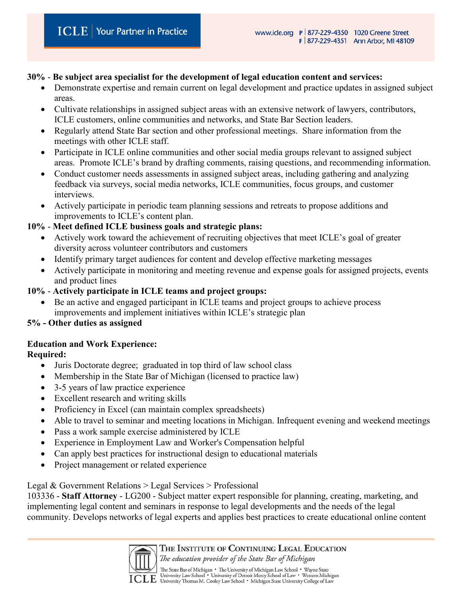#### **30%** - **Be subject area specialist for the development of legal education content and services:**

- Demonstrate expertise and remain current on legal development and practice updates in assigned subject areas.
- Cultivate relationships in assigned subject areas with an extensive network of lawyers, contributors, ICLE customers, online communities and networks, and State Bar Section leaders.
- Regularly attend State Bar section and other professional meetings. Share information from the meetings with other ICLE staff.
- Participate in ICLE online communities and other social media groups relevant to assigned subject areas. Promote ICLE's brand by drafting comments, raising questions, and recommending information.
- Conduct customer needs assessments in assigned subject areas, including gathering and analyzing feedback via surveys, social media networks, ICLE communities, focus groups, and customer interviews.
- Actively participate in periodic team planning sessions and retreats to propose additions and improvements to ICLE's content plan.

## **10%** - **Meet defined ICLE business goals and strategic plans:**

- Actively work toward the achievement of recruiting objectives that meet ICLE's goal of greater diversity across volunteer contributors and customers
- Identify primary target audiences for content and develop effective marketing messages
- Actively participate in monitoring and meeting revenue and expense goals for assigned projects, events and product lines

# **10%** - **Actively participate in ICLE teams and project groups:**

• Be an active and engaged participant in ICLE teams and project groups to achieve process improvements and implement initiatives within ICLE's strategic plan

#### **5% - Other duties as assigned**

# **Education and Work Experience:**

# **Required:**

- Juris Doctorate degree; graduated in top third of law school class
- Membership in the State Bar of Michigan (licensed to practice law)
- 3-5 years of law practice experience
- Excellent research and writing skills
- Proficiency in Excel (can maintain complex spreadsheets)
- Able to travel to seminar and meeting locations in Michigan. Infrequent evening and weekend meetings
- Pass a work sample exercise administered by ICLE
- Experience in Employment Law and Worker's Compensation helpful
- Can apply best practices for instructional design to educational materials
- Project management or related experience

# Legal & Government Relations > Legal Services > Professional

103336 - **Staff Attorney** - LG200 - Subject matter expert responsible for planning, creating, marketing, and implementing legal content and seminars in response to legal developments and the needs of the legal community. Develops networks of legal experts and applies best practices to create educational online content



THE INSTITUTE OF CONTINUING LEGAL EDUCATION

The education provider of the State Bar of Michigan